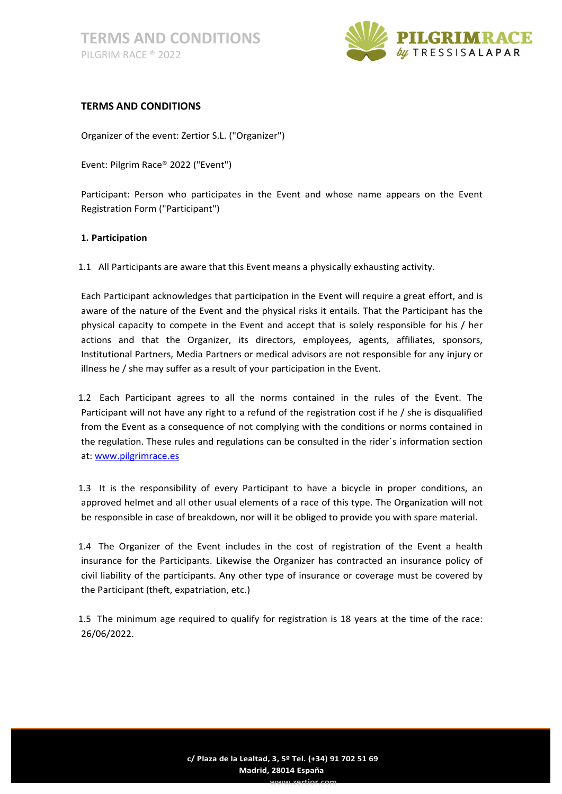

# TERMS AND CONDITIONS

Organizer of the event: Zertior S.L. ("Organizer")

Event: Pilgrim Race® 2022 ("Event")

Participant: Person who participates in the Event and whose name appears on the Event Registration Form ("Participant")

## 1. Participation

1.1 All Participants are aware that this Event means a physically exhausting activity.

Each Participant acknowledges that participation in the Event will require a great effort, and is aware of the nature of the Event and the physical risks it entails. That the Participant has the physical capacity to compete in the Event and accept that is solely responsible for his / her actions and that the Organizer, its directors, employees, agents, affiliates, sponsors, Institutional Partners, Media Partners or medical advisors are not responsible for any injury or illness he / she may suffer as a result of your participation in the Event.

1.2 Each Participant agrees to all the norms contained in the rules of the Event. The Participant will not have any right to a refund of the registration cost if he / she is disqualified from the Event as a consequence of not complying with the conditions or norms contained in the regulation. These rules and regulations can be consulted in the rider´s information section at: www.pilgrimrace.es

1.3 It is the responsibility of every Participant to have a bicycle in proper conditions, an approved helmet and all other usual elements of a race of this type. The Organization will not be responsible in case of breakdown, nor will it be obliged to provide you with spare material.

1.4 The Organizer of the Event includes in the cost of registration of the Event a health insurance for the Participants. Likewise the Organizer has contracted an insurance policy of civil liability of the participants. Any other type of insurance or coverage must be covered by the Participant (theft, expatriation, etc.)

1.5 The minimum age required to qualify for registration is 18 years at the time of the race: 26/06/2022.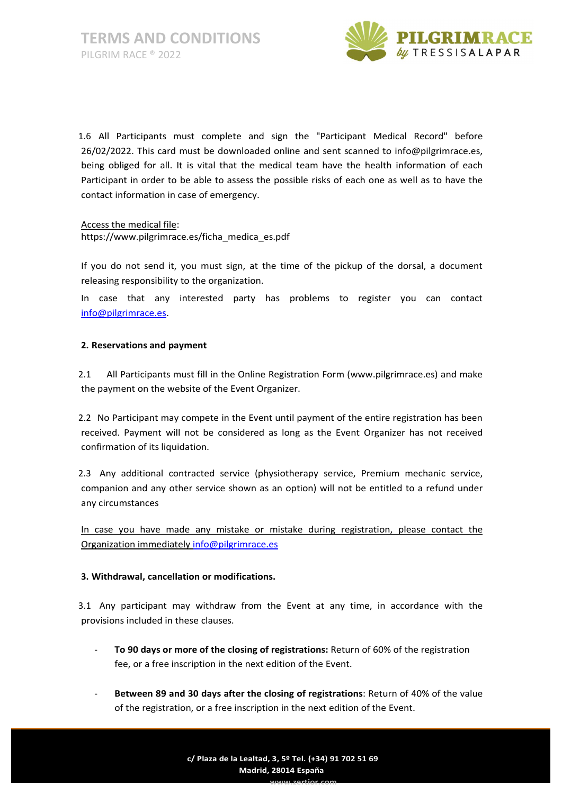

1.6 All Participants must complete and sign the "Participant Medical Record" before 26/02/2022. This card must be downloaded online and sent scanned to info@pilgrimrace.es, being obliged for all. It is vital that the medical team have the health information of each Participant in order to be able to assess the possible risks of each one as well as to have the contact information in case of emergency.

Access the medical file: https://www.pilgrimrace.es/ficha\_medica\_es.pdf

If you do not send it, you must sign, at the time of the pickup of the dorsal, a document releasing responsibility to the organization.

In case that any interested party has problems to register you can contact info@pilgrimrace.es.

## 2. Reservations and payment

2.1 All Participants must fill in the Online Registration Form (www.pilgrimrace.es) and make the payment on the website of the Event Organizer.

2.2 No Participant may compete in the Event until payment of the entire registration has been received. Payment will not be considered as long as the Event Organizer has not received confirmation of its liquidation.

2.3 Any additional contracted service (physiotherapy service, Premium mechanic service, companion and any other service shown as an option) will not be entitled to a refund under any circumstances

In case you have made any mistake or mistake during registration, please contact the Organization immediately info@pilgrimrace.es

## 3. Withdrawal, cancellation or modifications.

3.1 Any participant may withdraw from the Event at any time, in accordance with the provisions included in these clauses.

- To 90 days or more of the closing of registrations: Return of 60% of the registration fee, or a free inscription in the next edition of the Event.
- Between 89 and 30 days after the closing of registrations: Return of 40% of the value of the registration, or a free inscription in the next edition of the Event.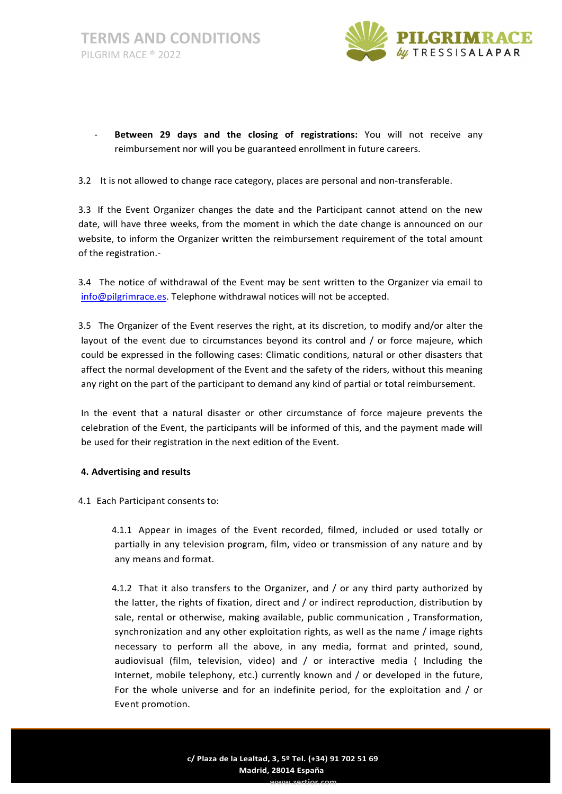

- Between 29 days and the closing of registrations: You will not receive any reimbursement nor will you be guaranteed enrollment in future careers.
- 3.2 It is not allowed to change race category, places are personal and non-transferable.

3.3 If the Event Organizer changes the date and the Participant cannot attend on the new date, will have three weeks, from the moment in which the date change is announced on our website, to inform the Organizer written the reimbursement requirement of the total amount of the registration.-

3.4 The notice of withdrawal of the Event may be sent written to the Organizer via email to info@pilgrimrace.es. Telephone withdrawal notices will not be accepted.

3.5 The Organizer of the Event reserves the right, at its discretion, to modify and/or alter the layout of the event due to circumstances beyond its control and / or force majeure, which could be expressed in the following cases: Climatic conditions, natural or other disasters that affect the normal development of the Event and the safety of the riders, without this meaning any right on the part of the participant to demand any kind of partial or total reimbursement.

In the event that a natural disaster or other circumstance of force majeure prevents the celebration of the Event, the participants will be informed of this, and the payment made will be used for their registration in the next edition of the Event.

## 4. Advertising and results

4.1 Each Participant consents to:

4.1.1 Appear in images of the Event recorded, filmed, included or used totally or partially in any television program, film, video or transmission of any nature and by any means and format.

4.1.2 That it also transfers to the Organizer, and / or any third party authorized by the latter, the rights of fixation, direct and / or indirect reproduction, distribution by sale, rental or otherwise, making available, public communication , Transformation, synchronization and any other exploitation rights, as well as the name / image rights necessary to perform all the above, in any media, format and printed, sound, audiovisual (film, television, video) and / or interactive media ( Including the Internet, mobile telephony, etc.) currently known and / or developed in the future, For the whole universe and for an indefinite period, for the exploitation and / or Event promotion.

www.zertior.com